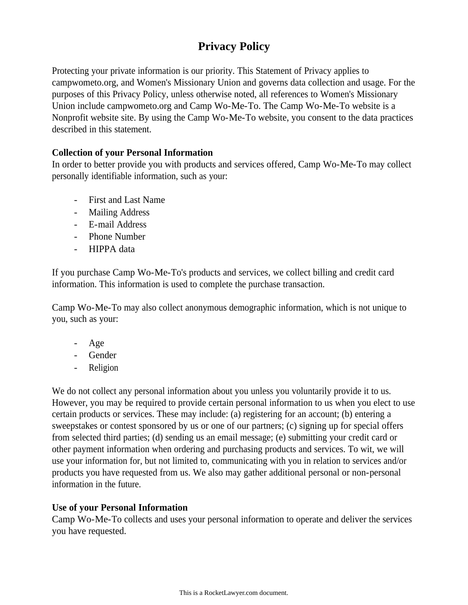# **Privacy Policy**

Protecting your private information is our priority. This Statement of Privacy applies to campwometo.org, and Women's Missionary Union and governs data collection and usage. For the purposes of this Privacy Policy, unless otherwise noted, all references to Women's Missionary Union include campwometo.org and Camp Wo-Me-To. The Camp Wo-Me-To website is a Nonprofit website site. By using the Camp Wo-Me-To website, you consent to the data practices described in this statement.

## **Collection of your Personal Information**

In order to better provide you with products and services offered, Camp Wo-Me-To may collect personally identifiable information, such as your:

- First and Last Name
- Mailing Address
- E-mail Address
- Phone Number
- HIPPA data

If you purchase Camp Wo-Me-To's products and services, we collect billing and credit card information. This information is used to complete the purchase transaction.

Camp Wo-Me-To may also collect anonymous demographic information, which is not unique to you, such as your:

- Age
- Gender
- Religion

We do not collect any personal information about you unless you voluntarily provide it to us. However, you may be required to provide certain personal information to us when you elect to use certain products or services. These may include: (a) registering for an account; (b) entering a sweepstakes or contest sponsored by us or one of our partners; (c) signing up for special offers from selected third parties; (d) sending us an email message; (e) submitting your credit card or other payment information when ordering and purchasing products and services. To wit, we will use your information for, but not limited to, communicating with you in relation to services and/or products you have requested from us. We also may gather additional personal or non-personal information in the future.

#### **Use of your Personal Information**

Camp Wo-Me-To collects and uses your personal information to operate and deliver the services you have requested.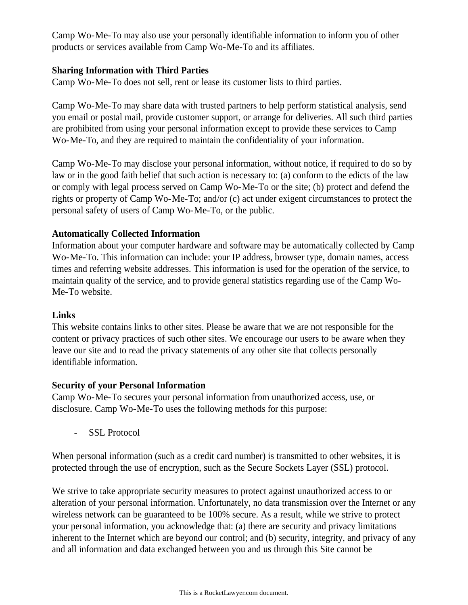Camp Wo-Me-To may also use your personally identifiable information to inform you of other products or services available from Camp Wo-Me-To and its affiliates.

#### **Sharing Information with Third Parties**

Camp Wo-Me-To does not sell, rent or lease its customer lists to third parties.

Camp Wo-Me-To may share data with trusted partners to help perform statistical analysis, send you email or postal mail, provide customer support, or arrange for deliveries. All such third parties are prohibited from using your personal information except to provide these services to Camp Wo-Me-To, and they are required to maintain the confidentiality of your information.

Camp Wo-Me-To may disclose your personal information, without notice, if required to do so by law or in the good faith belief that such action is necessary to: (a) conform to the edicts of the law or comply with legal process served on Camp Wo-Me-To or the site; (b) protect and defend the rights or property of Camp Wo-Me-To; and/or (c) act under exigent circumstances to protect the personal safety of users of Camp Wo-Me-To, or the public.

## **Automatically Collected Information**

Information about your computer hardware and software may be automatically collected by Camp Wo-Me-To. This information can include: your IP address, browser type, domain names, access times and referring website addresses. This information is used for the operation of the service, to maintain quality of the service, and to provide general statistics regarding use of the Camp Wo-Me-To website.

#### **Links**

This website contains links to other sites. Please be aware that we are not responsible for the content or privacy practices of such other sites. We encourage our users to be aware when they leave our site and to read the privacy statements of any other site that collects personally identifiable information.

#### **Security of your Personal Information**

Camp Wo-Me-To secures your personal information from unauthorized access, use, or disclosure. Camp Wo-Me-To uses the following methods for this purpose:

- SSL Protocol

When personal information (such as a credit card number) is transmitted to other websites, it is protected through the use of encryption, such as the Secure Sockets Layer (SSL) protocol.

We strive to take appropriate security measures to protect against unauthorized access to or alteration of your personal information. Unfortunately, no data transmission over the Internet or any wireless network can be guaranteed to be 100% secure. As a result, while we strive to protect your personal information, you acknowledge that: (a) there are security and privacy limitations inherent to the Internet which are beyond our control; and (b) security, integrity, and privacy of any and all information and data exchanged between you and us through this Site cannot be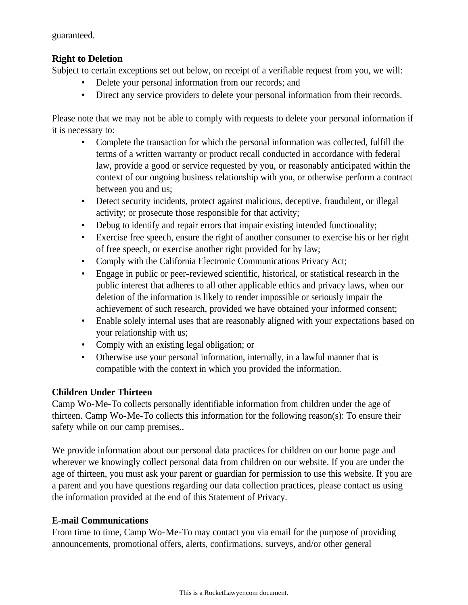guaranteed.

# **Right to Deletion**

Subject to certain exceptions set out below, on receipt of a verifiable request from you, we will:

- Delete your personal information from our records; and
- Direct any service providers to delete your personal information from their records.

Please note that we may not be able to comply with requests to delete your personal information if it is necessary to:

- Complete the transaction for which the personal information was collected, fulfill the terms of a written warranty or product recall conducted in accordance with federal law, provide a good or service requested by you, or reasonably anticipated within the context of our ongoing business relationship with you, or otherwise perform a contract between you and us;
- Detect security incidents, protect against malicious, deceptive, fraudulent, or illegal activity; or prosecute those responsible for that activity;
- Debug to identify and repair errors that impair existing intended functionality;
- Exercise free speech, ensure the right of another consumer to exercise his or her right of free speech, or exercise another right provided for by law;
- Comply with the California Electronic Communications Privacy Act;
- Engage in public or peer-reviewed scientific, historical, or statistical research in the public interest that adheres to all other applicable ethics and privacy laws, when our deletion of the information is likely to render impossible or seriously impair the achievement of such research, provided we have obtained your informed consent;
- Enable solely internal uses that are reasonably aligned with your expectations based on your relationship with us;
- Comply with an existing legal obligation; or
- Otherwise use your personal information, internally, in a lawful manner that is compatible with the context in which you provided the information.

## **Children Under Thirteen**

Camp Wo-Me-To collects personally identifiable information from children under the age of thirteen. Camp Wo-Me-To collects this information for the following reason(s): To ensure their safety while on our camp premises..

We provide information about our personal data practices for children on our home page and wherever we knowingly collect personal data from children on our website. If you are under the age of thirteen, you must ask your parent or guardian for permission to use this website. If you are a parent and you have questions regarding our data collection practices, please contact us using the information provided at the end of this Statement of Privacy.

## **E-mail Communications**

From time to time, Camp Wo-Me-To may contact you via email for the purpose of providing announcements, promotional offers, alerts, confirmations, surveys, and/or other general